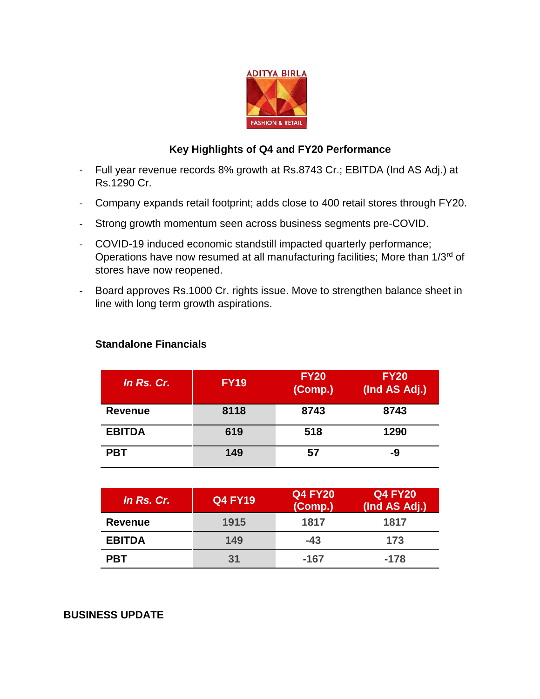

# **Key Highlights of Q4 and FY20 Performance**

- Full year revenue records 8% growth at Rs.8743 Cr.; EBITDA (Ind AS Adj.) at Rs.1290 Cr.
- Company expands retail footprint; adds close to 400 retail stores through FY20.
- Strong growth momentum seen across business segments pre-COVID.
- COVID-19 induced economic standstill impacted quarterly performance; Operations have now resumed at all manufacturing facilities; More than 1/3<sup>rd</sup> of stores have now reopened.
- Board approves Rs.1000 Cr. rights issue. Move to strengthen balance sheet in line with long term growth aspirations.

| In Rs. Cr.     | <b>FY19</b> | <b>FY20</b><br>(Comp.) | <b>FY20</b><br>(Ind AS Adj.) |
|----------------|-------------|------------------------|------------------------------|
| <b>Revenue</b> | 8118        | 8743                   | 8743                         |
| <b>EBITDA</b>  | 619         | 518                    | 1290                         |
| <b>PBT</b>     | 149         | 57                     | -9                           |

## **Standalone Financials**

| In Rs. Cr.     | <b>Q4 FY19</b> | <b>Q4 FY20</b><br>(Comp.) | <b>Q4 FY20</b><br>(Ind AS Adj.) |
|----------------|----------------|---------------------------|---------------------------------|
| <b>Revenue</b> | 1915           | 1817                      | 1817                            |
| <b>EBITDA</b>  | 149            | $-43$                     | 173                             |
| <b>PBT</b>     | 31             | -167                      | $-178$                          |

## **BUSINESS UPDATE**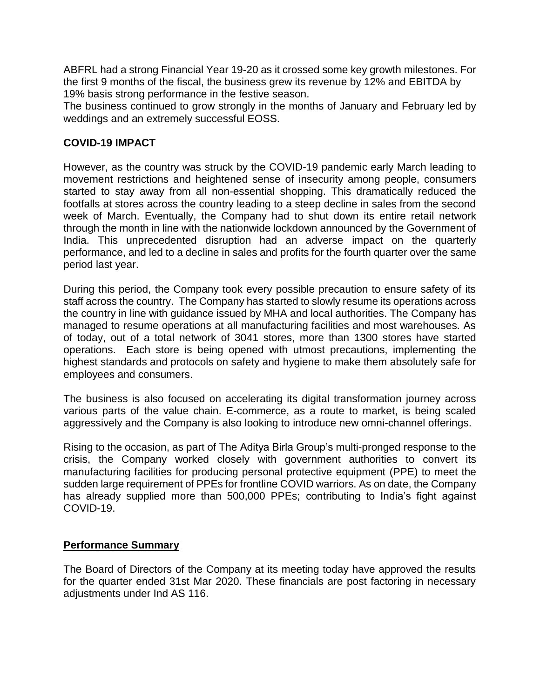ABFRL had a strong Financial Year 19-20 as it crossed some key growth milestones. For the first 9 months of the fiscal, the business grew its revenue by 12% and EBITDA by 19% basis strong performance in the festive season.

The business continued to grow strongly in the months of January and February led by weddings and an extremely successful EOSS.

## **COVID-19 IMPACT**

However, as the country was struck by the COVID-19 pandemic early March leading to movement restrictions and heightened sense of insecurity among people, consumers started to stay away from all non-essential shopping. This dramatically reduced the footfalls at stores across the country leading to a steep decline in sales from the second week of March. Eventually, the Company had to shut down its entire retail network through the month in line with the nationwide lockdown announced by the Government of India. This unprecedented disruption had an adverse impact on the quarterly performance, and led to a decline in sales and profits for the fourth quarter over the same period last year.

During this period, the Company took every possible precaution to ensure safety of its staff across the country. The Company has started to slowly resume its operations across the country in line with guidance issued by MHA and local authorities. The Company has managed to resume operations at all manufacturing facilities and most warehouses. As of today, out of a total network of 3041 stores, more than 1300 stores have started operations. Each store is being opened with utmost precautions, implementing the highest standards and protocols on safety and hygiene to make them absolutely safe for employees and consumers.

The business is also focused on accelerating its digital transformation journey across various parts of the value chain. E-commerce, as a route to market, is being scaled aggressively and the Company is also looking to introduce new omni-channel offerings.

Rising to the occasion, as part of The Aditya Birla Group's multi-pronged response to the crisis, the Company worked closely with government authorities to convert its manufacturing facilities for producing personal protective equipment (PPE) to meet the sudden large requirement of PPEs for frontline COVID warriors. As on date, the Company has already supplied more than 500,000 PPEs; contributing to India's fight against COVID-19.

## **Performance Summary**

The Board of Directors of the Company at its meeting today have approved the results for the quarter ended 31st Mar 2020. These financials are post factoring in necessary adjustments under Ind AS 116.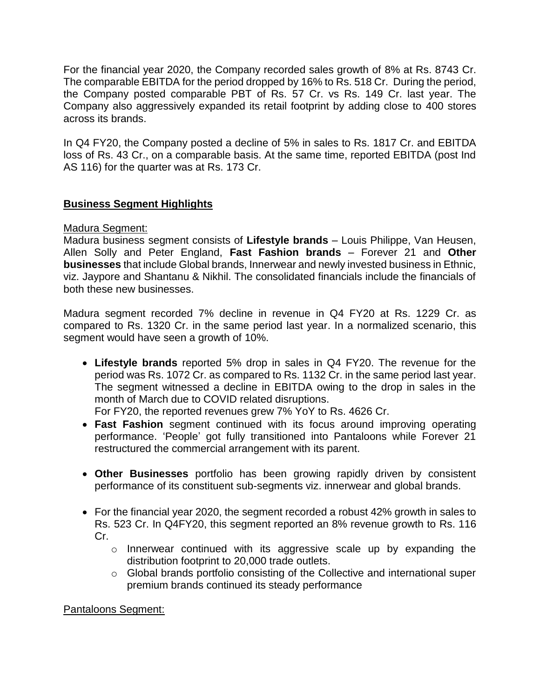For the financial year 2020, the Company recorded sales growth of 8% at Rs. 8743 Cr. The comparable EBITDA for the period dropped by 16% to Rs. 518 Cr. During the period, the Company posted comparable PBT of Rs. 57 Cr. vs Rs. 149 Cr. last year. The Company also aggressively expanded its retail footprint by adding close to 400 stores across its brands.

In Q4 FY20, the Company posted a decline of 5% in sales to Rs. 1817 Cr. and EBITDA loss of Rs. 43 Cr., on a comparable basis. At the same time, reported EBITDA (post Ind AS 116) for the quarter was at Rs. 173 Cr.

## **Business Segment Highlights**

### Madura Segment:

Madura business segment consists of **Lifestyle brands** – Louis Philippe, Van Heusen, Allen Solly and Peter England, **Fast Fashion brands** – Forever 21 and **Other businesses** that include Global brands, Innerwear and newly invested business in Ethnic, viz. Jaypore and Shantanu & Nikhil. The consolidated financials include the financials of both these new businesses.

Madura segment recorded 7% decline in revenue in Q4 FY20 at Rs. 1229 Cr. as compared to Rs. 1320 Cr. in the same period last year. In a normalized scenario, this segment would have seen a growth of 10%.

 **Lifestyle brands** reported 5% drop in sales in Q4 FY20. The revenue for the period was Rs. 1072 Cr. as compared to Rs. 1132 Cr. in the same period last year. The segment witnessed a decline in EBITDA owing to the drop in sales in the month of March due to COVID related disruptions.

For FY20, the reported revenues grew 7% YoY to Rs. 4626 Cr.

- **Fast Fashion** segment continued with its focus around improving operating performance. 'People' got fully transitioned into Pantaloons while Forever 21 restructured the commercial arrangement with its parent.
- **Other Businesses** portfolio has been growing rapidly driven by consistent performance of its constituent sub-segments viz. innerwear and global brands.
- For the financial year 2020, the segment recorded a robust 42% growth in sales to Rs. 523 Cr. In Q4FY20, this segment reported an 8% revenue growth to Rs. 116 Cr.
	- o Innerwear continued with its aggressive scale up by expanding the distribution footprint to 20,000 trade outlets.
	- o Global brands portfolio consisting of the Collective and international super premium brands continued its steady performance

Pantaloons Segment: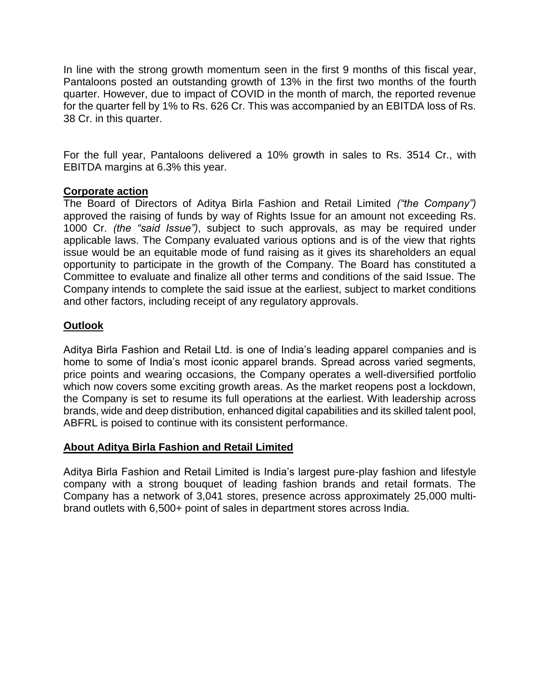In line with the strong growth momentum seen in the first 9 months of this fiscal year, Pantaloons posted an outstanding growth of 13% in the first two months of the fourth quarter. However, due to impact of COVID in the month of march, the reported revenue for the quarter fell by 1% to Rs. 626 Cr. This was accompanied by an EBITDA loss of Rs. 38 Cr. in this quarter.

For the full year, Pantaloons delivered a 10% growth in sales to Rs. 3514 Cr., with EBITDA margins at 6.3% this year.

### **Corporate action**

The Board of Directors of Aditya Birla Fashion and Retail Limited *("the Company")*  approved the raising of funds by way of Rights Issue for an amount not exceeding Rs. 1000 Cr. *(the "said Issue")*, subject to such approvals, as may be required under applicable laws. The Company evaluated various options and is of the view that rights issue would be an equitable mode of fund raising as it gives its shareholders an equal opportunity to participate in the growth of the Company. The Board has constituted a Committee to evaluate and finalize all other terms and conditions of the said Issue. The Company intends to complete the said issue at the earliest, subject to market conditions and other factors, including receipt of any regulatory approvals.

### **Outlook**

Aditya Birla Fashion and Retail Ltd. is one of India's leading apparel companies and is home to some of India's most iconic apparel brands. Spread across varied segments, price points and wearing occasions, the Company operates a well-diversified portfolio which now covers some exciting growth areas. As the market reopens post a lockdown, the Company is set to resume its full operations at the earliest. With leadership across brands, wide and deep distribution, enhanced digital capabilities and its skilled talent pool, ABFRL is poised to continue with its consistent performance.

### **About Aditya Birla Fashion and Retail Limited**

Aditya Birla Fashion and Retail Limited is India's largest pure-play fashion and lifestyle company with a strong bouquet of leading fashion brands and retail formats. The Company has a network of 3,041 stores, presence across approximately 25,000 multibrand outlets with 6,500+ point of sales in department stores across India.